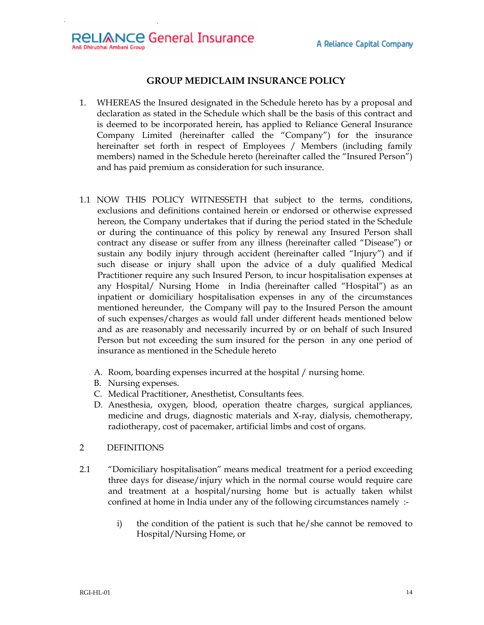## **GROUP MEDICLAIM INSURANCE POLICY**

- 1. WHEREAS the Insured designated in the Schedule hereto has by a proposal and declaration as stated in the Schedule which shall be the basis of this contract and is deemed to be incorporated herein, has applied to Reliance General Insurance Company Limited (hereinafter called the "Company") for the insurance hereinafter set forth in respect of Employees / Members (including family members) named in the Schedule hereto (hereinafter called the "Insured Person") and has paid premium as consideration for such insurance.
- 1.1 NOW THIS POLICY WITNESSETH that subject to the terms, conditions, exclusions and definitions contained herein or endorsed or otherwise expressed hereon, the Company undertakes that if during the period stated in the Schedule or during the continuance of this policy by renewal any Insured Person shall contract any disease or suffer from any illness (hereinafter called "Disease") or sustain any bodily injury through accident (hereinafter called "Injury") and if such disease or injury shall upon the advice of a duly qualified Medical Practitioner require any such Insured Person, to incur hospitalisation expenses at any Hospital/ Nursing Home in India (hereinafter called "Hospital") as an inpatient or domiciliary hospitalisation expenses in any of the circumstances mentioned hereunder, the Company will pay to the Insured Person the amount of such expenses/charges as would fall under different heads mentioned below and as are reasonably and necessarily incurred by or on behalf of such Insured Person but not exceeding the sum insured for the person in any one period of insurance as mentioned in the Schedule hereto
	- A. Room, boarding expenses incurred at the hospital / nursing home.
	- B. Nursing expenses.
	- C. Medical Practitioner, Anesthetist, Consultants fees.
	- D. Anesthesia, oxygen, blood, operation theatre charges, surgical appliances, medicine and drugs, diagnostic materials and X-ray, dialysis, chemotherapy, radiotherapy, cost of pacemaker, artificial limbs and cost of organs.
- 2DEFINITIONS
- 2.1 "Domiciliary hospitalisation" means medical treatment for a period exceeding three days for disease/injury which in the normal course would require care and treatment at a hospital/nursing home but is actually taken whilst confined at home in India under any of the following circumstances namely :
	- i) the condition of the patient is such that he/she cannot be removed to Hospital/Nursing Home, or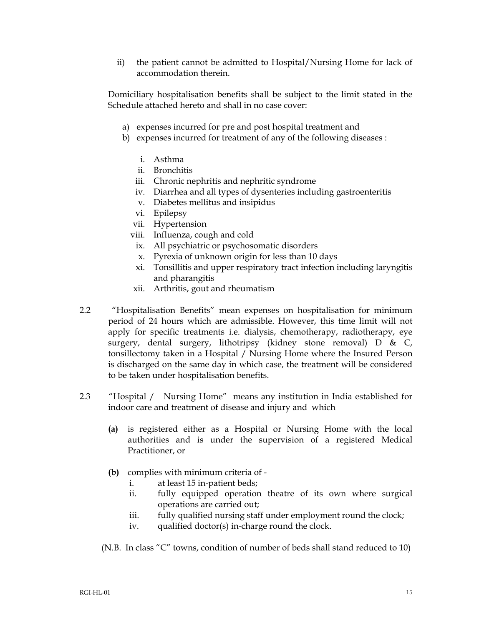ii) the patient cannot be admitted to Hospital/Nursing Home for lack of accommodation therein.

Domiciliary hospitalisation benefits shall be subject to the limit stated in the Schedule attached hereto and shall in no case cover:

- a) expenses incurred for pre and post hospital treatment and
- b) expenses incurred for treatment of any of the following diseases :
	- i. Asthma
	- ii. Bronchitis
	- iii. Chronic nephritis and nephritic syndrome
	- iv. Diarrhea and all types of dysenteries including gastroenteritis
	- v. Diabetes mellitus and insipidus
	- vi. Epilepsy
	- vii. Hypertension
	- viii. Influenza, cough and cold
	- ix. All psychiatric or psychosomatic disorders
	- x. Pyrexia of unknown origin for less than 10 days
	- xi. Tonsillitis and upper respiratory tract infection including laryngitis and pharangitis
	- xii. Arthritis, gout and rheumatism
- 2.2 "Hospitalisation Benefits" mean expenses on hospitalisation for minimum period of 24 hours which are admissible. However, this time limit will not apply for specific treatments i.e. dialysis, chemotherapy, radiotherapy, eye surgery, dental surgery, lithotripsy (kidney stone removal) D & C, tonsillectomy taken in a Hospital / Nursing Home where the Insured Person is discharged on the same day in which case, the treatment will be considered to be taken under hospitalisation benefits.
- 2.3 "Hospital / Nursing Home" means any institution in India established for indoor care and treatment of disease and injury and which
	- **(a)** is registered either as a Hospital or Nursing Home with the local authorities and is under the supervision of a registered Medical Practitioner, or
	- **(b)** complies with minimum criteria of
		- i. at least 15 in-patient beds;
		- ii. fully equipped operation theatre of its own where surgical operations are carried out;
		- iii. fully qualified nursing staff under employment round the clock;
		- iv. qualified doctor(s) in-charge round the clock.
	- (N.B. In class "C" towns, condition of number of beds shall stand reduced to 10)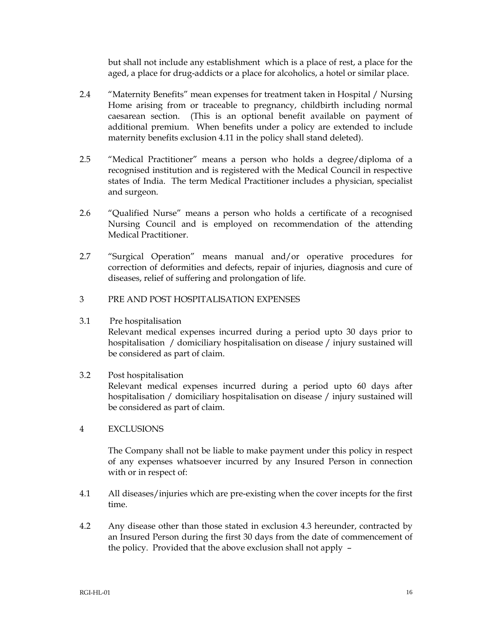but shall not include any establishment which is a place of rest, a place for the aged, a place for drug-addicts or a place for alcoholics, a hotel or similar place.

- 2.4 "Maternity Benefits" mean expenses for treatment taken in Hospital / Nursing Home arising from or traceable to pregnancy, childbirth including normal caesarean section. (This is an optional benefit available on payment of additional premium. When benefits under a policy are extended to include maternity benefits exclusion 4.11 in the policy shall stand deleted).
- 2.5 "Medical Practitioner" means a person who holds a degree/diploma of a recognised institution and is registered with the Medical Council in respective states of India. The term Medical Practitioner includes a physician, specialist and surgeon.
- 2.6 "Qualified Nurse" means a person who holds a certificate of a recognised Nursing Council and is employed on recommendation of the attending Medical Practitioner.
- 2.7 "Surgical Operation" means manual and/or operative procedures for correction of deformities and defects, repair of injuries, diagnosis and cure of diseases, relief of suffering and prolongation of life.
- 3 PRE AND POST HOSPITALISATION EXPENSES
- 3.1 Pre hospitalisation

Relevant medical expenses incurred during a period upto 30 days prior to hospitalisation / domiciliary hospitalisation on disease / injury sustained will be considered as part of claim.

- 3.2 Post hospitalisation Relevant medical expenses incurred during a period upto 60 days after hospitalisation / domiciliary hospitalisation on disease / injury sustained will be considered as part of claim.
- 4 EXCLUSIONS

 The Company shall not be liable to make payment under this policy in respect of any expenses whatsoever incurred by any Insured Person in connection with or in respect of:

- 4.1 All diseases/injuries which are pre-existing when the cover incepts for the first time.
- 4.2 Any disease other than those stated in exclusion 4.3 hereunder, contracted by an Insured Person during the first 30 days from the date of commencement of the policy. Provided that the above exclusion shall not apply –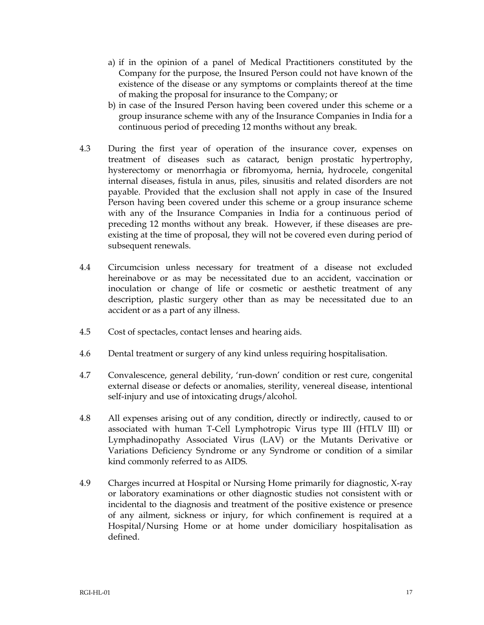- a) if in the opinion of a panel of Medical Practitioners constituted by the Company for the purpose, the Insured Person could not have known of the existence of the disease or any symptoms or complaints thereof at the time of making the proposal for insurance to the Company; or
- b) in case of the Insured Person having been covered under this scheme or a group insurance scheme with any of the Insurance Companies in India for a continuous period of preceding 12 months without any break.
- 4.3 During the first year of operation of the insurance cover, expenses on treatment of diseases such as cataract, benign prostatic hypertrophy, hysterectomy or menorrhagia or fibromyoma, hernia, hydrocele, congenital internal diseases, fistula in anus, piles, sinusitis and related disorders are not payable. Provided that the exclusion shall not apply in case of the Insured Person having been covered under this scheme or a group insurance scheme with any of the Insurance Companies in India for a continuous period of preceding 12 months without any break. However, if these diseases are preexisting at the time of proposal, they will not be covered even during period of subsequent renewals.
- 4.4 Circumcision unless necessary for treatment of a disease not excluded hereinabove or as may be necessitated due to an accident, vaccination or inoculation or change of life or cosmetic or aesthetic treatment of any description, plastic surgery other than as may be necessitated due to an accident or as a part of any illness.
- 4.5 Cost of spectacles, contact lenses and hearing aids.
- 4.6 Dental treatment or surgery of any kind unless requiring hospitalisation.
- 4.7 Convalescence, general debility, 'run-down' condition or rest cure, congenital external disease or defects or anomalies, sterility, venereal disease, intentional self-injury and use of intoxicating drugs/alcohol.
- 4.8 All expenses arising out of any condition, directly or indirectly, caused to or associated with human T-Cell Lymphotropic Virus type III (HTLV III) or Lymphadinopathy Associated Virus (LAV) or the Mutants Derivative or Variations Deficiency Syndrome or any Syndrome or condition of a similar kind commonly referred to as AIDS.
- 4.9 Charges incurred at Hospital or Nursing Home primarily for diagnostic, X-ray or laboratory examinations or other diagnostic studies not consistent with or incidental to the diagnosis and treatment of the positive existence or presence of any ailment, sickness or injury, for which confinement is required at a Hospital/Nursing Home or at home under domiciliary hospitalisation as defined.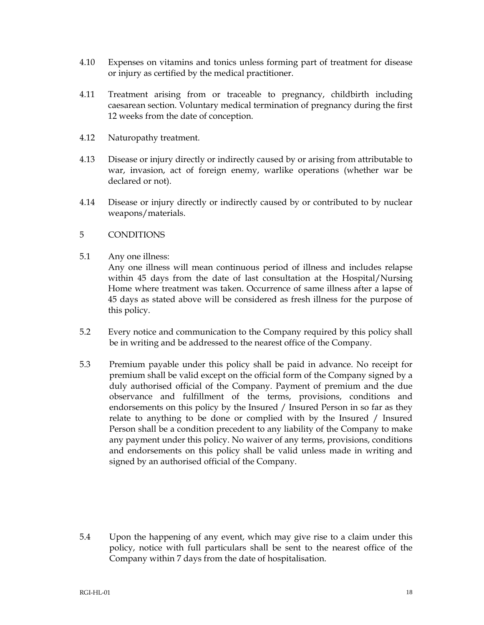- 4.10 Expenses on vitamins and tonics unless forming part of treatment for disease or injury as certified by the medical practitioner.
- 4.11 Treatment arising from or traceable to pregnancy, childbirth including caesarean section. Voluntary medical termination of pregnancy during the first 12 weeks from the date of conception.
- 4.12 Naturopathy treatment.
- 4.13 Disease or injury directly or indirectly caused by or arising from attributable to war, invasion, act of foreign enemy, warlike operations (whether war be declared or not).
- 4.14 Disease or injury directly or indirectly caused by or contributed to by nuclear weapons/materials.

## 5 CONDITIONS

5.1 Any one illness:

Any one illness will mean continuous period of illness and includes relapse within 45 days from the date of last consultation at the Hospital/Nursing Home where treatment was taken. Occurrence of same illness after a lapse of 45 days as stated above will be considered as fresh illness for the purpose of this policy.

- 5.2 Every notice and communication to the Company required by this policy shall be in writing and be addressed to the nearest office of the Company.
- 5.3 Premium payable under this policy shall be paid in advance. No receipt for premium shall be valid except on the official form of the Company signed by a duly authorised official of the Company. Payment of premium and the due observance and fulfillment of the terms, provisions, conditions and endorsements on this policy by the Insured / Insured Person in so far as they relate to anything to be done or complied with by the Insured / Insured Person shall be a condition precedent to any liability of the Company to make any payment under this policy. No waiver of any terms, provisions, conditions and endorsements on this policy shall be valid unless made in writing and signed by an authorised official of the Company.

5.4 Upon the happening of any event, which may give rise to a claim under this policy, notice with full particulars shall be sent to the nearest office of the Company within 7 days from the date of hospitalisation.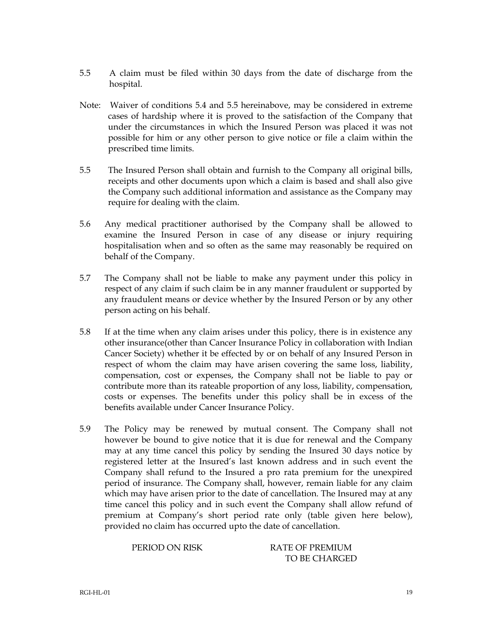- 5.5 A claim must be filed within 30 days from the date of discharge from the hospital.
- Note: Waiver of conditions 5.4 and 5.5 hereinabove, may be considered in extreme cases of hardship where it is proved to the satisfaction of the Company that under the circumstances in which the Insured Person was placed it was not possible for him or any other person to give notice or file a claim within the prescribed time limits.
- 5.5 The Insured Person shall obtain and furnish to the Company all original bills, receipts and other documents upon which a claim is based and shall also give the Company such additional information and assistance as the Company may require for dealing with the claim.
- 5.6 Any medical practitioner authorised by the Company shall be allowed to examine the Insured Person in case of any disease or injury requiring hospitalisation when and so often as the same may reasonably be required on behalf of the Company.
- 5.7 The Company shall not be liable to make any payment under this policy in respect of any claim if such claim be in any manner fraudulent or supported by any fraudulent means or device whether by the Insured Person or by any other person acting on his behalf.
- 5.8 If at the time when any claim arises under this policy, there is in existence any other insurance(other than Cancer Insurance Policy in collaboration with Indian Cancer Society) whether it be effected by or on behalf of any Insured Person in respect of whom the claim may have arisen covering the same loss, liability, compensation, cost or expenses, the Company shall not be liable to pay or contribute more than its rateable proportion of any loss, liability, compensation, costs or expenses. The benefits under this policy shall be in excess of the benefits available under Cancer Insurance Policy.
- 5.9 The Policy may be renewed by mutual consent. The Company shall not however be bound to give notice that it is due for renewal and the Company may at any time cancel this policy by sending the Insured 30 days notice by registered letter at the Insured's last known address and in such event the Company shall refund to the Insured a pro rata premium for the unexpired period of insurance. The Company shall, however, remain liable for any claim which may have arisen prior to the date of cancellation. The Insured may at any time cancel this policy and in such event the Company shall allow refund of premium at Company's short period rate only (table given here below), provided no claim has occurred upto the date of cancellation.

PERIOD ON RISK RATE OF PREMIUM TO BE CHARGED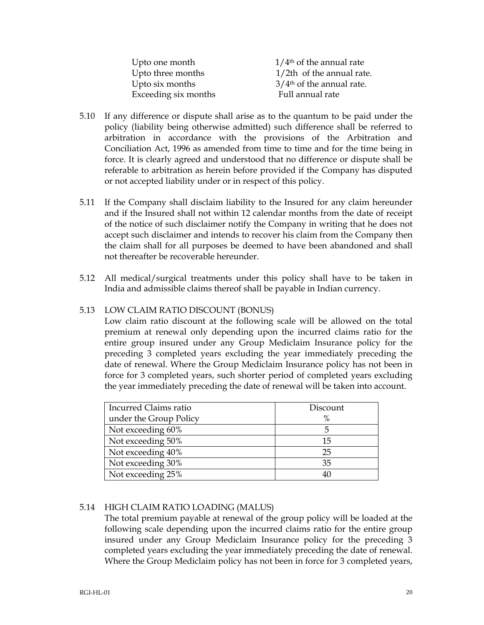| Upto one month       | $1/4$ <sup>th</sup> of the annual rate  |
|----------------------|-----------------------------------------|
| Upto three months    | $1/2$ th of the annual rate.            |
| Upto six months      | $3/4$ <sup>th</sup> of the annual rate. |
| Exceeding six months | Full annual rate                        |

- 5.10 If any difference or dispute shall arise as to the quantum to be paid under the policy (liability being otherwise admitted) such difference shall be referred to arbitration in accordance with the provisions of the Arbitration and Conciliation Act, 1996 as amended from time to time and for the time being in force. It is clearly agreed and understood that no difference or dispute shall be referable to arbitration as herein before provided if the Company has disputed or not accepted liability under or in respect of this policy.
- 5.11 If the Company shall disclaim liability to the Insured for any claim hereunder and if the Insured shall not within 12 calendar months from the date of receipt of the notice of such disclaimer notify the Company in writing that he does not accept such disclaimer and intends to recover his claim from the Company then the claim shall for all purposes be deemed to have been abandoned and shall not thereafter be recoverable hereunder.
- 5.12 All medical/surgical treatments under this policy shall have to be taken in India and admissible claims thereof shall be payable in Indian currency.

## 5.13 LOW CLAIM RATIO DISCOUNT (BONUS)

Low claim ratio discount at the following scale will be allowed on the total premium at renewal only depending upon the incurred claims ratio for the entire group insured under any Group Mediclaim Insurance policy for the preceding 3 completed years excluding the year immediately preceding the date of renewal. Where the Group Mediclaim Insurance policy has not been in force for 3 completed years, such shorter period of completed years excluding the year immediately preceding the date of renewal will be taken into account.

| Incurred Claims ratio  | Discount |
|------------------------|----------|
| under the Group Policy | %        |
| Not exceeding 60%      |          |
| Not exceeding 50%      | 15       |
| Not exceeding 40%      | 25       |
| Not exceeding 30%      | 35       |
| Not exceeding 25%      | 40       |

## 5.14 HIGH CLAIM RATIO LOADING (MALUS)

The total premium payable at renewal of the group policy will be loaded at the following scale depending upon the incurred claims ratio for the entire group insured under any Group Mediclaim Insurance policy for the preceding 3 completed years excluding the year immediately preceding the date of renewal. Where the Group Mediclaim policy has not been in force for 3 completed years,